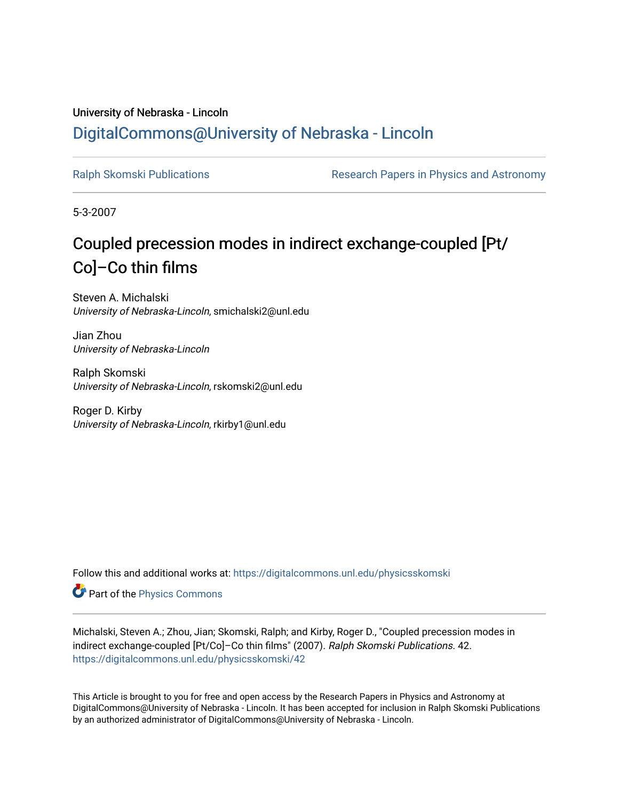# University of Nebraska - Lincoln [DigitalCommons@University of Nebraska - Lincoln](https://digitalcommons.unl.edu/)

[Ralph Skomski Publications](https://digitalcommons.unl.edu/physicsskomski) **Research Papers in Physics and Astronomy** 

5-3-2007

# Coupled precession modes in indirect exchange-coupled [Pt/ Co]–Co thin films

Steven A. Michalski University of Nebraska-Lincoln, smichalski2@unl.edu

Jian Zhou University of Nebraska-Lincoln

Ralph Skomski University of Nebraska-Lincoln, rskomski2@unl.edu

Roger D. Kirby University of Nebraska-Lincoln, rkirby1@unl.edu

Follow this and additional works at: [https://digitalcommons.unl.edu/physicsskomski](https://digitalcommons.unl.edu/physicsskomski?utm_source=digitalcommons.unl.edu%2Fphysicsskomski%2F42&utm_medium=PDF&utm_campaign=PDFCoverPages) 

Part of the [Physics Commons](http://network.bepress.com/hgg/discipline/193?utm_source=digitalcommons.unl.edu%2Fphysicsskomski%2F42&utm_medium=PDF&utm_campaign=PDFCoverPages)

Michalski, Steven A.; Zhou, Jian; Skomski, Ralph; and Kirby, Roger D., "Coupled precession modes in indirect exchange-coupled [Pt/Co]–Co thin films" (2007). Ralph Skomski Publications. 42. [https://digitalcommons.unl.edu/physicsskomski/42](https://digitalcommons.unl.edu/physicsskomski/42?utm_source=digitalcommons.unl.edu%2Fphysicsskomski%2F42&utm_medium=PDF&utm_campaign=PDFCoverPages)

This Article is brought to you for free and open access by the Research Papers in Physics and Astronomy at DigitalCommons@University of Nebraska - Lincoln. It has been accepted for inclusion in Ralph Skomski Publications by an authorized administrator of DigitalCommons@University of Nebraska - Lincoln.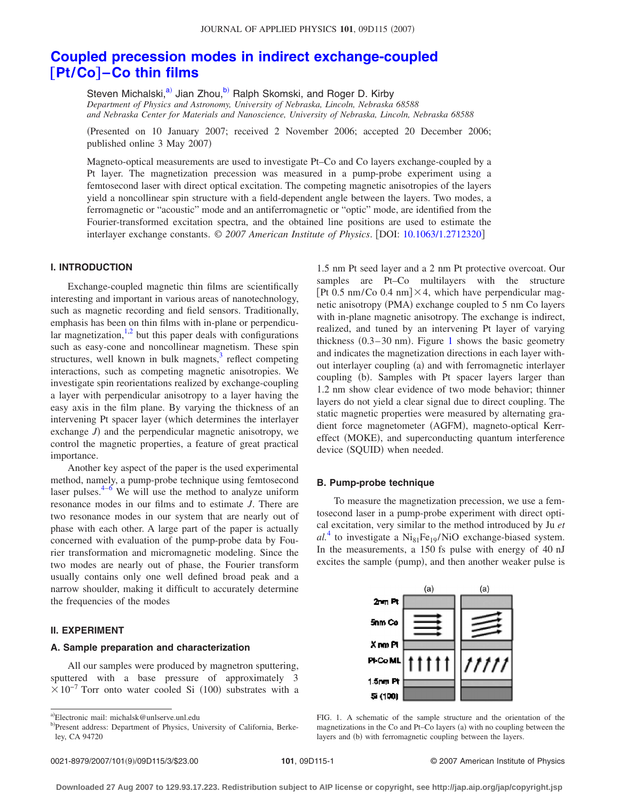# **[Coupled precession modes in indirect exchange-coupled](http://dx.doi.org/10.1063/1.2712320)** †**Pt/Co**‡**[–Co thin films](http://dx.doi.org/10.1063/1.2712320)**

Steven Michalski,<sup>a)</sup> Jian Zhou,<sup>b</sup>) Ralph Skomski, and Roger D. Kirby *Department of Physics and Astronomy, University of Nebraska, Lincoln, Nebraska 68588 and Nebraska Center for Materials and Nanoscience, University of Nebraska, Lincoln, Nebraska 68588*

Presented on 10 January 2007; received 2 November 2006; accepted 20 December 2006; published online 3 May 2007)

Magneto-optical measurements are used to investigate Pt–Co and Co layers exchange-coupled by a Pt layer. The magnetization precession was measured in a pump-probe experiment using a femtosecond laser with direct optical excitation. The competing magnetic anisotropies of the layers yield a noncollinear spin structure with a field-dependent angle between the layers. Two modes, a ferromagnetic or "acoustic" mode and an antiferromagnetic or "optic" mode, are identified from the Fourier-transformed excitation spectra, and the obtained line positions are used to estimate the interlayer exchange constants. © 2007 American Institute of Physics. [DOI: [10.1063/1.2712320](http://dx.doi.org/10.1063/1.2712320)]

## **I. INTRODUCTION**

Exchange-coupled magnetic thin films are scientifically interesting and important in various areas of nanotechnology, such as magnetic recording and field sensors. Traditionally, emphasis has been on thin films with in-plane or perpendicular magnetization, $1,2$  $1,2$  but this paper deals with configurations such as easy-cone and noncollinear magnetism. These spin structures, well known in bulk magnets, $3$  reflect competing interactions, such as competing magnetic anisotropies. We investigate spin reorientations realized by exchange-coupling a layer with perpendicular anisotropy to a layer having the easy axis in the film plane. By varying the thickness of an intervening Pt spacer layer (which determines the interlayer exchange  $J$ ) and the perpendicular magnetic anisotropy, we control the magnetic properties, a feature of great practical importance.

Another key aspect of the paper is the used experimental method, namely, a pump-probe technique using femtosecond laser pulses. $4-6$  $4-6$  We will use the method to analyze uniform resonance modes in our films and to estimate *J*. There are two resonance modes in our system that are nearly out of phase with each other. A large part of the paper is actually concerned with evaluation of the pump-probe data by Fourier transformation and micromagnetic modeling. Since the two modes are nearly out of phase, the Fourier transform usually contains only one well defined broad peak and a narrow shoulder, making it difficult to accurately determine the frequencies of the modes

#### **II. EXPERIMENT**

#### **A. Sample preparation and characterization**

All our samples were produced by magnetron sputtering, sputtered with a base pressure of approximately 3  $\times 10^{-7}$  Torr onto water cooled Si (100) substrates with a

1.5 nm Pt seed layer and a 2 nm Pt protective overcoat. Our samples are Pt–Co multilayers with the structure [Pt 0.5 nm/Co 0.4 nm] $\times$ 4, which have perpendicular magnetic anisotropy (PMA) exchange coupled to 5 nm Co layers with in-plane magnetic anisotropy. The exchange is indirect, realized, and tuned by an intervening Pt layer of varying thickness  $(0.3-30 \text{ nm})$ . Figure [1](#page-1-2) shows the basic geometry and indicates the magnetization directions in each layer without interlayer coupling (a) and with ferromagnetic interlayer coupling (b). Samples with Pt spacer layers larger than 1.2 nm show clear evidence of two mode behavior; thinner layers do not yield a clear signal due to direct coupling. The static magnetic properties were measured by alternating gradient force magnetometer (AGFM), magneto-optical Kerreffect (MOKE), and superconducting quantum interference device (SQUID) when needed.

#### **B. Pump-probe technique**

To measure the magnetization precession, we use a femtosecond laser in a pump-probe experiment with direct optical excitation, very similar to the method introduced by Ju *et*  $al<sup>4</sup>$  $al<sup>4</sup>$  $al<sup>4</sup>$  to investigate a Ni<sub>81</sub>Fe<sub>19</sub>/NiO exchange-biased system. In the measurements, a 150 fs pulse with energy of 40 nJ excites the sample (pump), and then another weaker pulse is

<span id="page-1-2"></span>

FIG. 1. A schematic of the sample structure and the orientation of the magnetizations in the Co and Pt–Co layers (a) with no coupling between the layers and (b) with ferromagnetic coupling between the layers.

<span id="page-1-0"></span>a)Electronic mail: michalsk@unlserve.unl.edu

<span id="page-1-1"></span>b)Present address: Department of Physics, University of California, Berkeley, CA 94720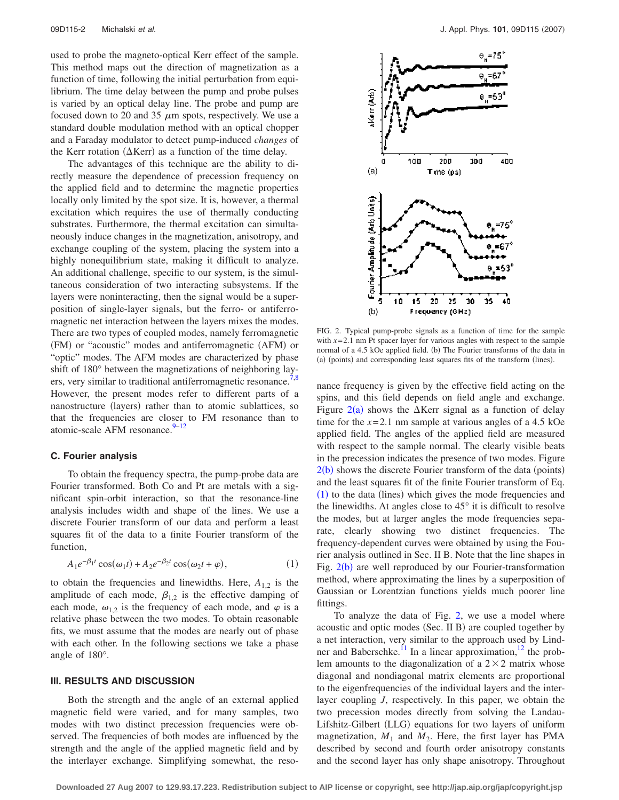used to probe the magneto-optical Kerr effect of the sample. This method maps out the direction of magnetization as a function of time, following the initial perturbation from equilibrium. The time delay between the pump and probe pulses is varied by an optical delay line. The probe and pump are focused down to 20 and 35  $\mu$ m spots, respectively. We use a standard double modulation method with an optical chopper and a Faraday modulator to detect pump-induced *changes* of the Kerr rotation ( $\Delta$ Kerr) as a function of the time delay.

The advantages of this technique are the ability to directly measure the dependence of precession frequency on the applied field and to determine the magnetic properties locally only limited by the spot size. It is, however, a thermal excitation which requires the use of thermally conducting substrates. Furthermore, the thermal excitation can simultaneously induce changes in the magnetization, anisotropy, and exchange coupling of the system, placing the system into a highly nonequilibrium state, making it difficult to analyze. An additional challenge, specific to our system, is the simultaneous consideration of two interacting subsystems. If the layers were noninteracting, then the signal would be a superposition of single-layer signals, but the ferro- or antiferromagnetic net interaction between the layers mixes the modes. There are two types of coupled modes, namely ferromagnetic (FM) or "acoustic" modes and antiferromagnetic (AFM) or "optic" modes. The AFM modes are characterized by phase shift of 180° between the magnetizations of neighboring lay-ers, very similar to traditional antiferromagnetic resonance.<sup>7[,8](#page-3-6)</sup> However, the present modes refer to different parts of a nanostructure (layers) rather than to atomic sublattices, so that the frequencies are closer to FM resonance than to atomic-scale AFM resonance. $9-12$  $9-12$ 

## **C. Fourier analysis**

To obtain the frequency spectra, the pump-probe data are Fourier transformed. Both Co and Pt are metals with a significant spin-orbit interaction, so that the resonance-line analysis includes width and shape of the lines. We use a discrete Fourier transform of our data and perform a least squares fit of the data to a finite Fourier transform of the function,

$$
A_1 e^{-\beta_1 t} \cos(\omega_1 t) + A_2 e^{-\beta_2 t} \cos(\omega_2 t + \varphi), \tag{1}
$$

<span id="page-2-1"></span>to obtain the frequencies and linewidths. Here,  $A_{1,2}$  is the amplitude of each mode,  $\beta_{1,2}$  is the effective damping of each mode,  $\omega_{1,2}$  is the frequency of each mode, and  $\varphi$  is a relative phase between the two modes. To obtain reasonable fits, we must assume that the modes are nearly out of phase with each other. In the following sections we take a phase angle of 180°.

#### **III. RESULTS AND DISCUSSION**

Both the strength and the angle of an external applied magnetic field were varied, and for many samples, two modes with two distinct precession frequencies were observed. The frequencies of both modes are influenced by the strength and the angle of the applied magnetic field and by the interlayer exchange. Simplifying somewhat, the reso-

<span id="page-2-0"></span>

FIG. 2. Typical pump-probe signals as a function of time for the sample with  $x=2.1$  nm Pt spacer layer for various angles with respect to the sample normal of a 4.5 kOe applied field. (b) The Fourier transforms of the data in (a) (points) and corresponding least squares fits of the transform (lines).

nance frequency is given by the effective field acting on the spins, and this field depends on field angle and exchange. Figure  $2(a)$  $2(a)$  shows the  $\Delta$ Kerr signal as a function of delay time for the  $x=2.1$  nm sample at various angles of a 4.5 kOe applied field. The angles of the applied field are measured with respect to the sample normal. The clearly visible beats in the precession indicates the presence of two modes. Figure  $2(b)$  $2(b)$  shows the discrete Fourier transform of the data (points) and the least squares fit of the finite Fourier transform of Eq. ([1](#page-2-1)) to the data (lines) which gives the mode frequencies and the linewidths. At angles close to 45° it is difficult to resolve the modes, but at larger angles the mode frequencies separate, clearly showing two distinct frequencies. The frequency-dependent curves were obtained by using the Fourier analysis outlined in Sec. II B. Note that the line shapes in Fig.  $2(b)$  $2(b)$  are well reproduced by our Fourier-transformation method, where approximating the lines by a superposition of Gaussian or Lorentzian functions yields much poorer line fittings.

To analyze the data of Fig. [2,](#page-2-0) we use a model where acoustic and optic modes (Sec. II B) are coupled together by a net interaction, very similar to the approach used by Lindner and Baberschke.<sup>11</sup> In a linear approximation,<sup>12</sup> the problem amounts to the diagonalization of a  $2 \times 2$  matrix whose diagonal and nondiagonal matrix elements are proportional to the eigenfrequencies of the individual layers and the interlayer coupling *J*, respectively. In this paper, we obtain the two precession modes directly from solving the Landau-Lifshitz-Gilbert (LLG) equations for two layers of uniform magnetization,  $M_1$  and  $M_2$ . Here, the first layer has PMA described by second and fourth order anisotropy constants and the second layer has only shape anisotropy. Throughout